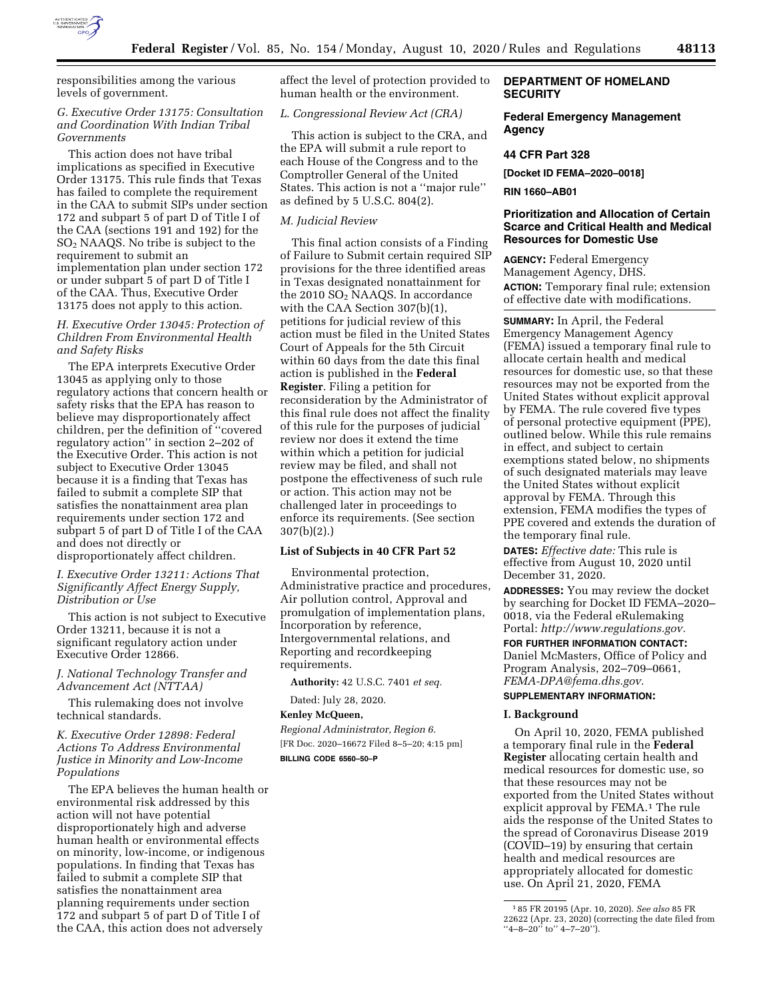

responsibilities among the various levels of government.

### *G. Executive Order 13175: Consultation and Coordination With Indian Tribal Governments*

This action does not have tribal implications as specified in Executive Order 13175. This rule finds that Texas has failed to complete the requirement in the CAA to submit SIPs under section 172 and subpart 5 of part D of Title I of the CAA (sections 191 and 192) for the SO2 NAAQS. No tribe is subject to the requirement to submit an implementation plan under section 172 or under subpart 5 of part D of Title I of the CAA. Thus, Executive Order 13175 does not apply to this action.

# *H. Executive Order 13045: Protection of Children From Environmental Health and Safety Risks*

The EPA interprets Executive Order 13045 as applying only to those regulatory actions that concern health or safety risks that the EPA has reason to believe may disproportionately affect children, per the definition of ''covered regulatory action'' in section 2–202 of the Executive Order. This action is not subject to Executive Order 13045 because it is a finding that Texas has failed to submit a complete SIP that satisfies the nonattainment area plan requirements under section 172 and subpart 5 of part D of Title I of the CAA and does not directly or disproportionately affect children.

# *I. Executive Order 13211: Actions That Significantly Affect Energy Supply, Distribution or Use*

This action is not subject to Executive Order 13211, because it is not a significant regulatory action under Executive Order 12866.

# *J. National Technology Transfer and Advancement Act (NTTAA)*

This rulemaking does not involve technical standards.

### *K. Executive Order 12898: Federal Actions To Address Environmental Justice in Minority and Low-Income Populations*

The EPA believes the human health or environmental risk addressed by this action will not have potential disproportionately high and adverse human health or environmental effects on minority, low-income, or indigenous populations. In finding that Texas has failed to submit a complete SIP that satisfies the nonattainment area planning requirements under section 172 and subpart 5 of part D of Title I of the CAA, this action does not adversely

affect the level of protection provided to human health or the environment.

# *L. Congressional Review Act (CRA)*

This action is subject to the CRA, and the EPA will submit a rule report to each House of the Congress and to the Comptroller General of the United States. This action is not a ''major rule'' as defined by 5 U.S.C. 804(2).

# *M. Judicial Review*

This final action consists of a Finding of Failure to Submit certain required SIP provisions for the three identified areas in Texas designated nonattainment for the 2010 SO2 NAAQS. In accordance with the CAA Section 307(b)(1), petitions for judicial review of this action must be filed in the United States Court of Appeals for the 5th Circuit within 60 days from the date this final action is published in the **Federal Register**. Filing a petition for reconsideration by the Administrator of this final rule does not affect the finality of this rule for the purposes of judicial review nor does it extend the time within which a petition for judicial review may be filed, and shall not postpone the effectiveness of such rule or action. This action may not be challenged later in proceedings to enforce its requirements. (See section 307(b)(2).)

### **List of Subjects in 40 CFR Part 52**

Environmental protection, Administrative practice and procedures, Air pollution control, Approval and promulgation of implementation plans, Incorporation by reference, Intergovernmental relations, and Reporting and recordkeeping requirements.

**Authority:** 42 U.S.C. 7401 *et seq.* 

Dated: July 28, 2020.

### **Kenley McQueen,**

*Regional Administrator, Region 6.*  [FR Doc. 2020–16672 Filed 8–5–20; 4:15 pm] **BILLING CODE 6560–50–P** 

# **DEPARTMENT OF HOMELAND SECURITY**

## **Federal Emergency Management Agency**

# **44 CFR Part 328**

**[Docket ID FEMA–2020–0018]** 

### **RIN 1660–AB01**

# **Prioritization and Allocation of Certain Scarce and Critical Health and Medical Resources for Domestic Use**

**AGENCY:** Federal Emergency Management Agency, DHS. **ACTION:** Temporary final rule; extension of effective date with modifications.

**SUMMARY:** In April, the Federal Emergency Management Agency (FEMA) issued a temporary final rule to allocate certain health and medical resources for domestic use, so that these resources may not be exported from the United States without explicit approval by FEMA. The rule covered five types of personal protective equipment (PPE), outlined below. While this rule remains in effect, and subject to certain exemptions stated below, no shipments of such designated materials may leave the United States without explicit approval by FEMA. Through this extension, FEMA modifies the types of PPE covered and extends the duration of the temporary final rule.

**DATES:** *Effective date:* This rule is effective from August 10, 2020 until December 31, 2020.

**ADDRESSES:** You may review the docket by searching for Docket ID FEMA–2020– 0018, via the Federal eRulemaking Portal: *[http://www.regulations.gov.](http://www.regulations.gov)* 

**FOR FURTHER INFORMATION CONTACT:**  Daniel McMasters, Office of Policy and Program Analysis, 202–709–0661, *[FEMA-DPA@fema.dhs.gov.](mailto:FEMA-DPA@fema.dhs.gov)* 

# **SUPPLEMENTARY INFORMATION:**

### **I. Background**

On April 10, 2020, FEMA published a temporary final rule in the **Federal Register** allocating certain health and medical resources for domestic use, so that these resources may not be exported from the United States without explicit approval by FEMA.<sup>1</sup> The rule aids the response of the United States to the spread of Coronavirus Disease 2019 (COVID–19) by ensuring that certain health and medical resources are appropriately allocated for domestic use. On April 21, 2020, FEMA

<sup>1</sup> 85 FR 20195 (Apr. 10, 2020). *See also* 85 FR 22622 (Apr. 23, 2020) (correcting the date filed from "4-8-20" to" 4-7-20").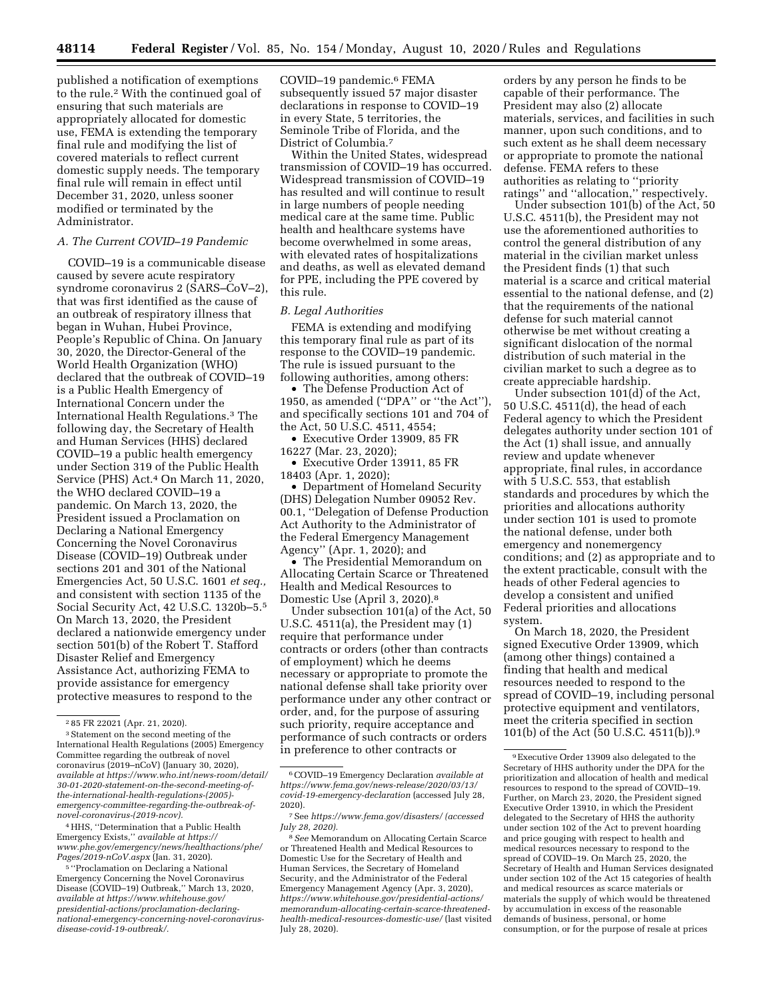published a notification of exemptions to the rule.2 With the continued goal of ensuring that such materials are appropriately allocated for domestic use, FEMA is extending the temporary final rule and modifying the list of covered materials to reflect current domestic supply needs. The temporary final rule will remain in effect until December 31, 2020, unless sooner modified or terminated by the Administrator.

# *A. The Current COVID–19 Pandemic*

COVID–19 is a communicable disease caused by severe acute respiratory syndrome coronavirus 2 (SARS–CoV–2), that was first identified as the cause of an outbreak of respiratory illness that began in Wuhan, Hubei Province, People's Republic of China. On January 30, 2020, the Director-General of the World Health Organization (WHO) declared that the outbreak of COVID–19 is a Public Health Emergency of International Concern under the International Health Regulations.3 The following day, the Secretary of Health and Human Services (HHS) declared COVID–19 a public health emergency under Section 319 of the Public Health Service (PHS) Act.4 On March 11, 2020, the WHO declared COVID–19 a pandemic. On March 13, 2020, the President issued a Proclamation on Declaring a National Emergency Concerning the Novel Coronavirus Disease (COVID–19) Outbreak under sections 201 and 301 of the National Emergencies Act, 50 U.S.C. 1601 *et seq.,*  and consistent with section 1135 of the Social Security Act, 42 U.S.C. 1320b–5.5 On March 13, 2020, the President declared a nationwide emergency under section 501(b) of the Robert T. Stafford Disaster Relief and Emergency Assistance Act, authorizing FEMA to provide assistance for emergency protective measures to respond to the

4HHS, ''Determination that a Public Health Emergency Exists,'' *available at [https://](https://www.phe.gov/emergency/news/healthactions/phe/Pages/2019-nCoV.aspx) [www.phe.gov/emergency/news/healthactions/phe/](https://www.phe.gov/emergency/news/healthactions/phe/Pages/2019-nCoV.aspx)  [Pages/2019-nCoV.aspx](https://www.phe.gov/emergency/news/healthactions/phe/Pages/2019-nCoV.aspx)* (Jan. 31, 2020).

5 ''Proclamation on Declaring a National Emergency Concerning the Novel Coronavirus Disease (COVID–19) Outbreak,'' March 13, 2020, *available at [https://www.whitehouse.gov/](https://www.whitehouse.gov/presidential-actions/proclamation-declaring-national-emergency-concerning-novel-coronavirus-disease-covid-19-outbreak/)  [presidential-actions/proclamation-declaring](https://www.whitehouse.gov/presidential-actions/proclamation-declaring-national-emergency-concerning-novel-coronavirus-disease-covid-19-outbreak/)[national-emergency-concerning-novel-coronavirus](https://www.whitehouse.gov/presidential-actions/proclamation-declaring-national-emergency-concerning-novel-coronavirus-disease-covid-19-outbreak/)[disease-covid-19-outbreak/.](https://www.whitehouse.gov/presidential-actions/proclamation-declaring-national-emergency-concerning-novel-coronavirus-disease-covid-19-outbreak/)* 

COVID–19 pandemic.6 FEMA subsequently issued 57 major disaster declarations in response to COVID–19 in every State, 5 territories, the Seminole Tribe of Florida, and the District of Columbia.7

Within the United States, widespread transmission of COVID–19 has occurred. Widespread transmission of COVID–19 has resulted and will continue to result in large numbers of people needing medical care at the same time. Public health and healthcare systems have become overwhelmed in some areas, with elevated rates of hospitalizations and deaths, as well as elevated demand for PPE, including the PPE covered by this rule.

### *B. Legal Authorities*

FEMA is extending and modifying this temporary final rule as part of its response to the COVID–19 pandemic. The rule is issued pursuant to the following authorities, among others:

• The Defense Production Act of 1950, as amended (''DPA'' or ''the Act''), and specifically sections 101 and 704 of the Act, 50 U.S.C. 4511, 4554;

• Executive Order 13909, 85 FR 16227 (Mar. 23, 2020);

• Executive Order 13911, 85 FR 18403 (Apr. 1, 2020);

• Department of Homeland Security (DHS) Delegation Number 09052 Rev. 00.1, ''Delegation of Defense Production Act Authority to the Administrator of the Federal Emergency Management Agency'' (Apr. 1, 2020); and

• The Presidential Memorandum on Allocating Certain Scarce or Threatened Health and Medical Resources to Domestic Use (April 3, 2020).8

Under subsection 101(a) of the Act, 50 U.S.C. 4511(a), the President may (1) require that performance under contracts or orders (other than contracts of employment) which he deems necessary or appropriate to promote the national defense shall take priority over performance under any other contract or order, and, for the purpose of assuring such priority, require acceptance and performance of such contracts or orders in preference to other contracts or

orders by any person he finds to be capable of their performance. The President may also (2) allocate materials, services, and facilities in such manner, upon such conditions, and to such extent as he shall deem necessary or appropriate to promote the national defense. FEMA refers to these authorities as relating to ''priority ratings'' and ''allocation,'' respectively.

Under subsection 101(b) of the Act, 50 U.S.C. 4511(b), the President may not use the aforementioned authorities to control the general distribution of any material in the civilian market unless the President finds (1) that such material is a scarce and critical material essential to the national defense, and (2) that the requirements of the national defense for such material cannot otherwise be met without creating a significant dislocation of the normal distribution of such material in the civilian market to such a degree as to create appreciable hardship.

Under subsection 101(d) of the Act, 50 U.S.C. 4511(d), the head of each Federal agency to which the President delegates authority under section 101 of the Act (1) shall issue, and annually review and update whenever appropriate, final rules, in accordance with 5 U.S.C. 553, that establish standards and procedures by which the priorities and allocations authority under section 101 is used to promote the national defense, under both emergency and nonemergency conditions; and (2) as appropriate and to the extent practicable, consult with the heads of other Federal agencies to develop a consistent and unified Federal priorities and allocations system.

On March 18, 2020, the President signed Executive Order 13909, which (among other things) contained a finding that health and medical resources needed to respond to the spread of COVID–19, including personal protective equipment and ventilators, meet the criteria specified in section 101(b) of the Act (50 U.S.C. 4511(b)).9

<sup>2</sup> 85 FR 22021 (Apr. 21, 2020).

<sup>3</sup>Statement on the second meeting of the International Health Regulations (2005) Emergency Committee regarding the outbreak of novel coronavirus (2019–nCoV) (January 30, 2020), *available at [https://www.who.int/news-room/detail/](https://www.who.int/news-room/detail/30-01-2020-statement-on-the-second-meeting-of-the-international-health-regulations-(2005)-emergency-committee-regarding-the-outbreak-of-novel-coronavirus-(2019-ncov))  [30-01-2020-statement-on-the-second-meeting-of](https://www.who.int/news-room/detail/30-01-2020-statement-on-the-second-meeting-of-the-international-health-regulations-(2005)-emergency-committee-regarding-the-outbreak-of-novel-coronavirus-(2019-ncov))[the-international-health-regulations-\(2005\)](https://www.who.int/news-room/detail/30-01-2020-statement-on-the-second-meeting-of-the-international-health-regulations-(2005)-emergency-committee-regarding-the-outbreak-of-novel-coronavirus-(2019-ncov)) [emergency-committee-regarding-the-outbreak-of](https://www.who.int/news-room/detail/30-01-2020-statement-on-the-second-meeting-of-the-international-health-regulations-(2005)-emergency-committee-regarding-the-outbreak-of-novel-coronavirus-(2019-ncov))[novel-coronavirus-\(2019-ncov\)](https://www.who.int/news-room/detail/30-01-2020-statement-on-the-second-meeting-of-the-international-health-regulations-(2005)-emergency-committee-regarding-the-outbreak-of-novel-coronavirus-(2019-ncov)).* 

<sup>6</sup>COVID–19 Emergency Declaration *available at [https://www.fema.gov/news-release/2020/03/13/](https://www.fema.gov/news-release/2020/03/13/covid-19-emergency-declaration) [covid-19-emergency-declaration](https://www.fema.gov/news-release/2020/03/13/covid-19-emergency-declaration)* (accessed July 28, 2020).

<sup>7</sup>See *<https://www.fema.gov/disasters/>(accessed July 28, 2020).* 

<sup>8</sup>*See* Memorandum on Allocating Certain Scarce or Threatened Health and Medical Resources to Domestic Use for the Secretary of Health and Human Services, the Secretary of Homeland Security, and the Administrator of the Federal Emergency Management Agency (Apr. 3, 2020), *[https://www.whitehouse.gov/presidential-actions/](https://www.whitehouse.gov/presidential-actions/memorandum-allocating-certain-scarce-threatened-health-medical-resources-domestic-use/)  [memorandum-allocating-certain-scarce-threatened](https://www.whitehouse.gov/presidential-actions/memorandum-allocating-certain-scarce-threatened-health-medical-resources-domestic-use/)[health-medical-resources-domestic-use/](https://www.whitehouse.gov/presidential-actions/memorandum-allocating-certain-scarce-threatened-health-medical-resources-domestic-use/)* (last visited July 28, 2020).

<sup>9</sup>Executive Order 13909 also delegated to the Secretary of HHS authority under the DPA for the prioritization and allocation of health and medical resources to respond to the spread of COVID–19. Further, on March 23, 2020, the President signed Executive Order 13910, in which the President delegated to the Secretary of HHS the authority under section 102 of the Act to prevent hoarding and price gouging with respect to health and medical resources necessary to respond to the spread of COVID–19. On March 25, 2020, the Secretary of Health and Human Services designated under section 102 of the Act 15 categories of health and medical resources as scarce materials or materials the supply of which would be threatened by accumulation in excess of the reasonable demands of business, personal, or home consumption, or for the purpose of resale at prices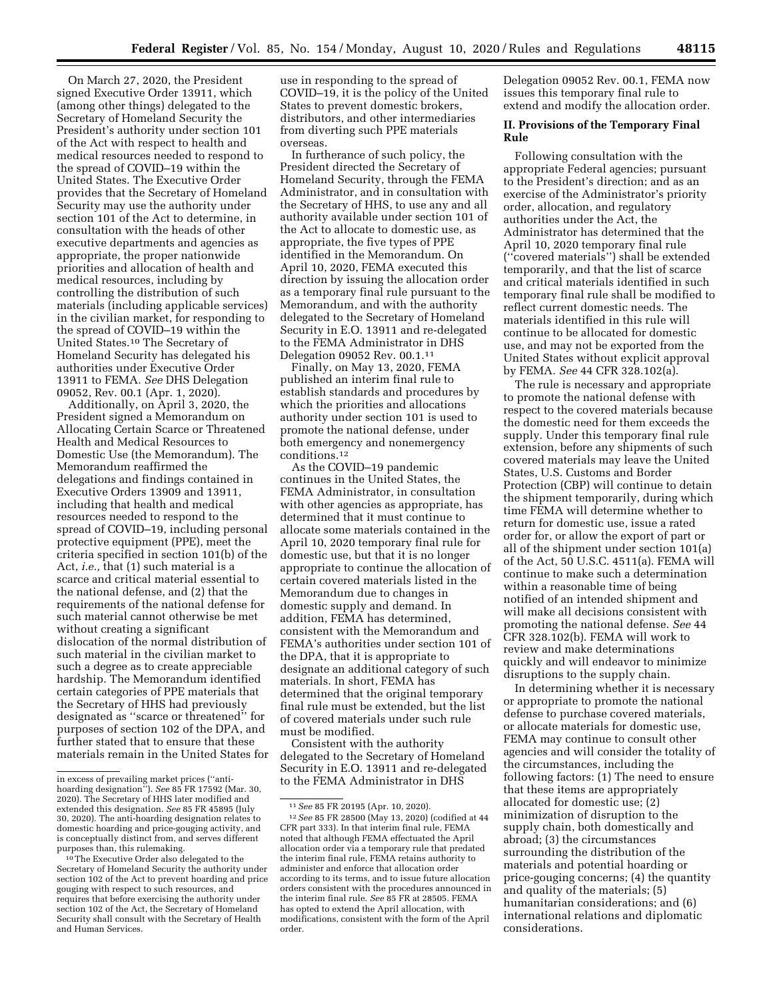On March 27, 2020, the President signed Executive Order 13911, which (among other things) delegated to the Secretary of Homeland Security the President's authority under section 101 of the Act with respect to health and medical resources needed to respond to the spread of COVID–19 within the United States. The Executive Order provides that the Secretary of Homeland Security may use the authority under section 101 of the Act to determine, in consultation with the heads of other executive departments and agencies as appropriate, the proper nationwide priorities and allocation of health and medical resources, including by controlling the distribution of such materials (including applicable services) in the civilian market, for responding to the spread of COVID–19 within the United States.10 The Secretary of Homeland Security has delegated his authorities under Executive Order 13911 to FEMA. *See* DHS Delegation 09052, Rev. 00.1 (Apr. 1, 2020).

Additionally, on April 3, 2020, the President signed a Memorandum on Allocating Certain Scarce or Threatened Health and Medical Resources to Domestic Use (the Memorandum). The Memorandum reaffirmed the delegations and findings contained in Executive Orders 13909 and 13911, including that health and medical resources needed to respond to the spread of COVID–19, including personal protective equipment (PPE), meet the criteria specified in section 101(b) of the Act, *i.e.,* that (1) such material is a scarce and critical material essential to the national defense, and (2) that the requirements of the national defense for such material cannot otherwise be met without creating a significant dislocation of the normal distribution of such material in the civilian market to such a degree as to create appreciable hardship. The Memorandum identified certain categories of PPE materials that the Secretary of HHS had previously designated as ''scarce or threatened'' for purposes of section 102 of the DPA, and further stated that to ensure that these materials remain in the United States for use in responding to the spread of COVID–19, it is the policy of the United States to prevent domestic brokers, distributors, and other intermediaries from diverting such PPE materials overseas.

In furtherance of such policy, the President directed the Secretary of Homeland Security, through the FEMA Administrator, and in consultation with the Secretary of HHS, to use any and all authority available under section 101 of the Act to allocate to domestic use, as appropriate, the five types of PPE identified in the Memorandum. On April 10, 2020, FEMA executed this direction by issuing the allocation order as a temporary final rule pursuant to the Memorandum, and with the authority delegated to the Secretary of Homeland Security in E.O. 13911 and re-delegated to the FEMA Administrator in DHS Delegation 09052 Rev. 00.1.11

Finally, on May 13, 2020, FEMA published an interim final rule to establish standards and procedures by which the priorities and allocations authority under section 101 is used to promote the national defense, under both emergency and nonemergency conditions.12

As the COVID–19 pandemic continues in the United States, the FEMA Administrator, in consultation with other agencies as appropriate, has determined that it must continue to allocate some materials contained in the April 10, 2020 temporary final rule for domestic use, but that it is no longer appropriate to continue the allocation of certain covered materials listed in the Memorandum due to changes in domestic supply and demand. In addition, FEMA has determined, consistent with the Memorandum and FEMA's authorities under section 101 of the DPA, that it is appropriate to designate an additional category of such materials. In short, FEMA has determined that the original temporary final rule must be extended, but the list of covered materials under such rule must be modified.

Consistent with the authority delegated to the Secretary of Homeland Security in E.O. 13911 and re-delegated to the FEMA Administrator in DHS

Delegation 09052 Rev. 00.1, FEMA now issues this temporary final rule to extend and modify the allocation order.

### **II. Provisions of the Temporary Final Rule**

Following consultation with the appropriate Federal agencies; pursuant to the President's direction; and as an exercise of the Administrator's priority order, allocation, and regulatory authorities under the Act, the Administrator has determined that the April 10, 2020 temporary final rule (''covered materials'') shall be extended temporarily, and that the list of scarce and critical materials identified in such temporary final rule shall be modified to reflect current domestic needs. The materials identified in this rule will continue to be allocated for domestic use, and may not be exported from the United States without explicit approval by FEMA. *See* 44 CFR 328.102(a).

The rule is necessary and appropriate to promote the national defense with respect to the covered materials because the domestic need for them exceeds the supply. Under this temporary final rule extension, before any shipments of such covered materials may leave the United States, U.S. Customs and Border Protection (CBP) will continue to detain the shipment temporarily, during which time FEMA will determine whether to return for domestic use, issue a rated order for, or allow the export of part or all of the shipment under section 101(a) of the Act, 50 U.S.C. 4511(a). FEMA will continue to make such a determination within a reasonable time of being notified of an intended shipment and will make all decisions consistent with promoting the national defense. *See* 44 CFR 328.102(b). FEMA will work to review and make determinations quickly and will endeavor to minimize disruptions to the supply chain.

In determining whether it is necessary or appropriate to promote the national defense to purchase covered materials, or allocate materials for domestic use, FEMA may continue to consult other agencies and will consider the totality of the circumstances, including the following factors: (1) The need to ensure that these items are appropriately allocated for domestic use; (2) minimization of disruption to the supply chain, both domestically and abroad; (3) the circumstances surrounding the distribution of the materials and potential hoarding or price-gouging concerns; (4) the quantity and quality of the materials; (5) humanitarian considerations; and (6) international relations and diplomatic considerations.

in excess of prevailing market prices (''anti-hoarding designation''). *See* 85 FR 17592 (Mar. 30, 2020). The Secretary of HHS later modified and extended this designation. *See* 85 FR 45895 (July 30, 2020). The anti-hoarding designation relates to domestic hoarding and price-gouging activity, and is conceptually distinct from, and serves different

The Executive Order also delegated to the Secretary of Homeland Security the authority under section 102 of the Act to prevent hoarding and price gouging with respect to such resources, and requires that before exercising the authority under section 102 of the Act, the Secretary of Homeland Security shall consult with the Secretary of Health and Human Services.

<sup>11</sup>*See* 85 FR 20195 (Apr. 10, 2020).

<sup>12</sup>*See* 85 FR 28500 (May 13, 2020) (codified at 44 CFR part 333). In that interim final rule, FEMA noted that although FEMA effectuated the April allocation order via a temporary rule that predated the interim final rule, FEMA retains authority to administer and enforce that allocation order according to its terms, and to issue future allocation orders consistent with the procedures announced in the interim final rule. *See* 85 FR at 28505. FEMA has opted to extend the April allocation, with modifications, consistent with the form of the April order.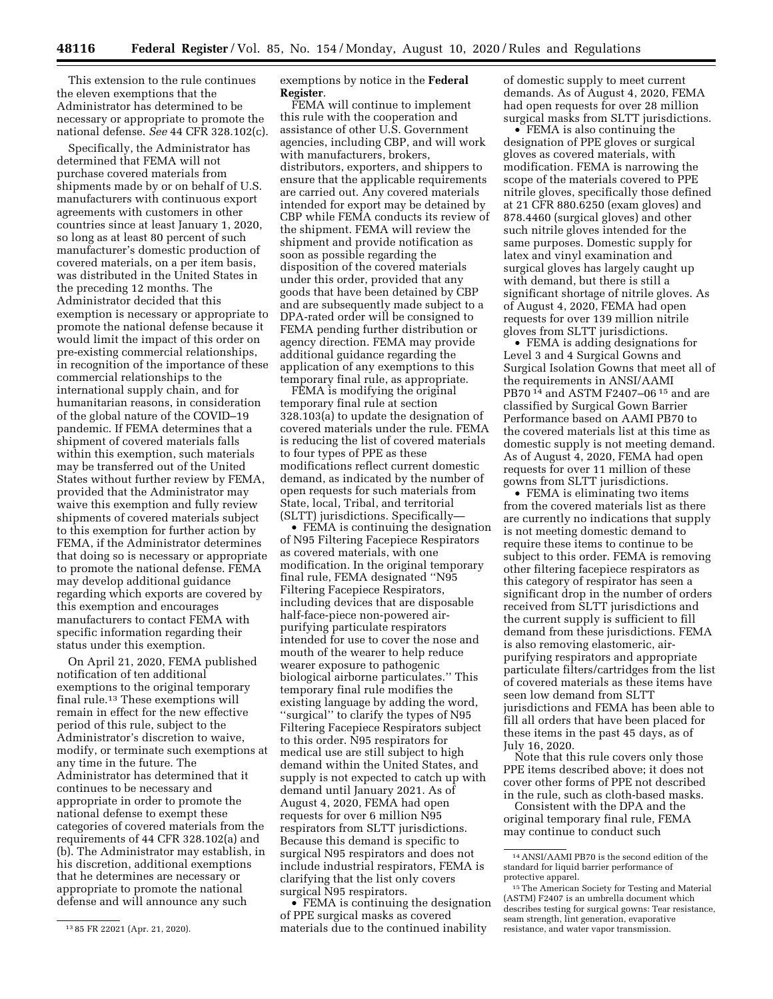This extension to the rule continues the eleven exemptions that the Administrator has determined to be necessary or appropriate to promote the national defense. *See* 44 CFR 328.102(c).

Specifically, the Administrator has determined that FEMA will not purchase covered materials from shipments made by or on behalf of U.S. manufacturers with continuous export agreements with customers in other countries since at least January 1, 2020, so long as at least 80 percent of such manufacturer's domestic production of covered materials, on a per item basis, was distributed in the United States in the preceding 12 months. The Administrator decided that this exemption is necessary or appropriate to promote the national defense because it would limit the impact of this order on pre-existing commercial relationships, in recognition of the importance of these commercial relationships to the international supply chain, and for humanitarian reasons, in consideration of the global nature of the COVID–19 pandemic. If FEMA determines that a shipment of covered materials falls within this exemption, such materials may be transferred out of the United States without further review by FEMA, provided that the Administrator may waive this exemption and fully review shipments of covered materials subject to this exemption for further action by FEMA, if the Administrator determines that doing so is necessary or appropriate to promote the national defense. FEMA may develop additional guidance regarding which exports are covered by this exemption and encourages manufacturers to contact FEMA with specific information regarding their status under this exemption.

On April 21, 2020, FEMA published notification of ten additional exemptions to the original temporary final rule.13 These exemptions will remain in effect for the new effective period of this rule, subject to the Administrator's discretion to waive, modify, or terminate such exemptions at any time in the future. The Administrator has determined that it continues to be necessary and appropriate in order to promote the national defense to exempt these categories of covered materials from the requirements of 44 CFR 328.102(a) and (b). The Administrator may establish, in his discretion, additional exemptions that he determines are necessary or appropriate to promote the national defense and will announce any such

exemptions by notice in the **Federal Register**.

FEMA will continue to implement this rule with the cooperation and assistance of other U.S. Government agencies, including CBP, and will work with manufacturers, brokers, distributors, exporters, and shippers to ensure that the applicable requirements are carried out. Any covered materials intended for export may be detained by CBP while FEMA conducts its review of the shipment. FEMA will review the shipment and provide notification as soon as possible regarding the disposition of the covered materials under this order, provided that any goods that have been detained by CBP and are subsequently made subject to a DPA-rated order will be consigned to FEMA pending further distribution or agency direction. FEMA may provide additional guidance regarding the application of any exemptions to this temporary final rule, as appropriate.

FEMA is modifying the original temporary final rule at section 328.103(a) to update the designation of covered materials under the rule. FEMA is reducing the list of covered materials to four types of PPE as these modifications reflect current domestic demand, as indicated by the number of open requests for such materials from State, local, Tribal, and territorial (SLTT) jurisdictions. Specifically—

• FEMA is continuing the designation of N95 Filtering Facepiece Respirators as covered materials, with one modification. In the original temporary final rule, FEMA designated ''N95 Filtering Facepiece Respirators, including devices that are disposable half-face-piece non-powered airpurifying particulate respirators intended for use to cover the nose and mouth of the wearer to help reduce wearer exposure to pathogenic biological airborne particulates.'' This temporary final rule modifies the existing language by adding the word, ''surgical'' to clarify the types of N95 Filtering Facepiece Respirators subject to this order. N95 respirators for medical use are still subject to high demand within the United States, and supply is not expected to catch up with demand until January 2021. As of August 4, 2020, FEMA had open requests for over 6 million N95 respirators from SLTT jurisdictions. Because this demand is specific to surgical N95 respirators and does not include industrial respirators, FEMA is clarifying that the list only covers surgical N95 respirators.

• FEMA is continuing the designation of PPE surgical masks as covered materials due to the continued inability

of domestic supply to meet current demands. As of August 4, 2020, FEMA had open requests for over 28 million surgical masks from SLTT jurisdictions.

• FEMA is also continuing the designation of PPE gloves or surgical gloves as covered materials, with modification. FEMA is narrowing the scope of the materials covered to PPE nitrile gloves, specifically those defined at 21 CFR 880.6250 (exam gloves) and 878.4460 (surgical gloves) and other such nitrile gloves intended for the same purposes. Domestic supply for latex and vinyl examination and surgical gloves has largely caught up with demand, but there is still a significant shortage of nitrile gloves. As of August 4, 2020, FEMA had open requests for over 139 million nitrile gloves from SLTT jurisdictions.

• FEMA is adding designations for Level 3 and 4 Surgical Gowns and Surgical Isolation Gowns that meet all of the requirements in ANSI/AAMI PB70 14 and ASTM F2407–06 15 and are classified by Surgical Gown Barrier Performance based on AAMI PB70 to the covered materials list at this time as domestic supply is not meeting demand. As of August 4, 2020, FEMA had open requests for over 11 million of these gowns from SLTT jurisdictions.

• FEMA is eliminating two items from the covered materials list as there are currently no indications that supply is not meeting domestic demand to require these items to continue to be subject to this order. FEMA is removing other filtering facepiece respirators as this category of respirator has seen a significant drop in the number of orders received from SLTT jurisdictions and the current supply is sufficient to fill demand from these jurisdictions. FEMA is also removing elastomeric, airpurifying respirators and appropriate particulate filters/cartridges from the list of covered materials as these items have seen low demand from SLTT jurisdictions and FEMA has been able to fill all orders that have been placed for these items in the past 45 days, as of July 16, 2020.

Note that this rule covers only those PPE items described above; it does not cover other forms of PPE not described in the rule, such as cloth-based masks.

Consistent with the DPA and the original temporary final rule, FEMA may continue to conduct such

<sup>13</sup> 85 FR 22021 (Apr. 21, 2020).

<sup>14</sup>ANSI/AAMI PB70 is the second edition of the standard for liquid barrier performance of protective apparel.

<sup>&</sup>lt;sup>15</sup> The American Society for Testing and Material (ASTM) F2407 is an umbrella document which describes testing for surgical gowns: Tear resistance, seam strength, lint generation, evaporative resistance, and water vapor transmission.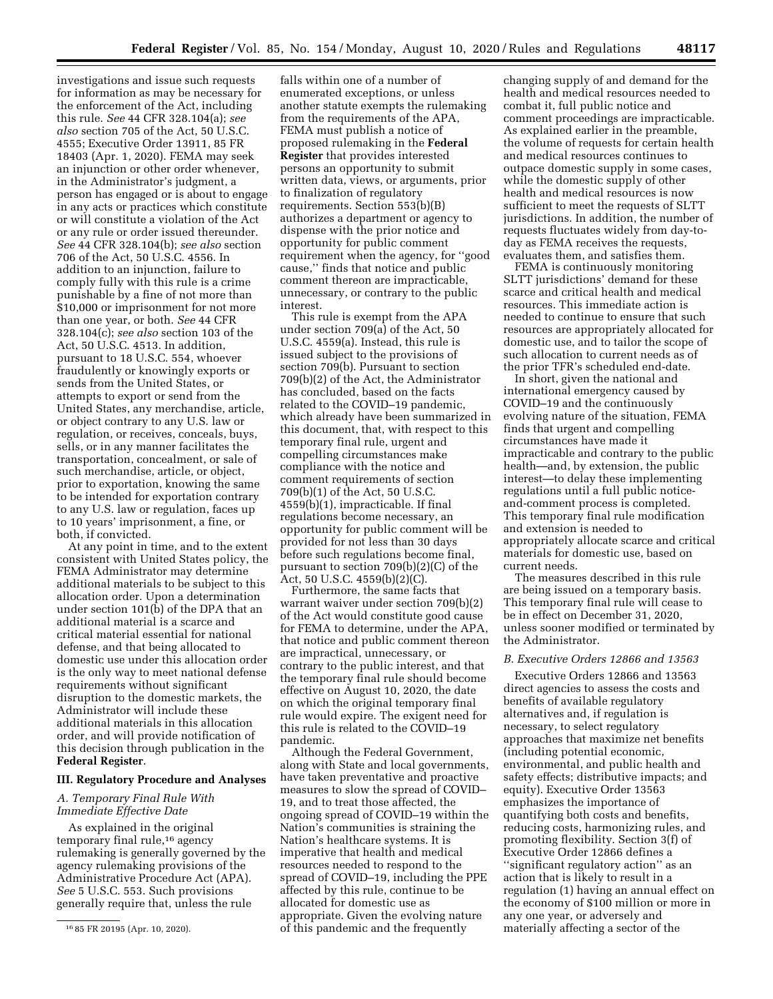investigations and issue such requests for information as may be necessary for the enforcement of the Act, including this rule. *See* 44 CFR 328.104(a); *see also* section 705 of the Act, 50 U.S.C. 4555; Executive Order 13911, 85 FR 18403 (Apr. 1, 2020). FEMA may seek an injunction or other order whenever, in the Administrator's judgment, a person has engaged or is about to engage in any acts or practices which constitute or will constitute a violation of the Act or any rule or order issued thereunder. *See* 44 CFR 328.104(b); *see also* section 706 of the Act, 50 U.S.C. 4556. In addition to an injunction, failure to comply fully with this rule is a crime punishable by a fine of not more than \$10,000 or imprisonment for not more than one year, or both. *See* 44 CFR 328.104(c); *see also* section 103 of the Act, 50 U.S.C. 4513. In addition, pursuant to 18 U.S.C. 554, whoever fraudulently or knowingly exports or sends from the United States, or attempts to export or send from the United States, any merchandise, article, or object contrary to any U.S. law or regulation, or receives, conceals, buys, sells, or in any manner facilitates the transportation, concealment, or sale of such merchandise, article, or object, prior to exportation, knowing the same to be intended for exportation contrary to any U.S. law or regulation, faces up to 10 years' imprisonment, a fine, or both, if convicted.

At any point in time, and to the extent consistent with United States policy, the FEMA Administrator may determine additional materials to be subject to this allocation order. Upon a determination under section  $101(b)$  of the DPA that an additional material is a scarce and critical material essential for national defense, and that being allocated to domestic use under this allocation order is the only way to meet national defense requirements without significant disruption to the domestic markets, the Administrator will include these additional materials in this allocation order, and will provide notification of this decision through publication in the **Federal Register**.

#### **III. Regulatory Procedure and Analyses**

### *A. Temporary Final Rule With Immediate Effective Date*

As explained in the original temporary final rule,16 agency rulemaking is generally governed by the agency rulemaking provisions of the Administrative Procedure Act (APA). *See* 5 U.S.C. 553. Such provisions generally require that, unless the rule

falls within one of a number of enumerated exceptions, or unless another statute exempts the rulemaking from the requirements of the APA, FEMA must publish a notice of proposed rulemaking in the **Federal Register** that provides interested persons an opportunity to submit written data, views, or arguments, prior to finalization of regulatory requirements. Section 553(b)(B) authorizes a department or agency to dispense with the prior notice and opportunity for public comment requirement when the agency, for ''good cause,'' finds that notice and public comment thereon are impracticable, unnecessary, or contrary to the public interest.

This rule is exempt from the APA under section 709(a) of the Act, 50 U.S.C. 4559(a). Instead, this rule is issued subject to the provisions of section 709(b). Pursuant to section 709(b)(2) of the Act, the Administrator has concluded, based on the facts related to the COVID–19 pandemic, which already have been summarized in this document, that, with respect to this temporary final rule, urgent and compelling circumstances make compliance with the notice and comment requirements of section 709(b)(1) of the Act, 50 U.S.C. 4559(b)(1), impracticable. If final regulations become necessary, an opportunity for public comment will be provided for not less than 30 days before such regulations become final, pursuant to section 709(b)(2)(C) of the Act, 50 U.S.C. 4559(b)(2)(C).

Furthermore, the same facts that warrant waiver under section 709(b)(2) of the Act would constitute good cause for FEMA to determine, under the APA, that notice and public comment thereon are impractical, unnecessary, or contrary to the public interest, and that the temporary final rule should become effective on August 10, 2020, the date on which the original temporary final rule would expire. The exigent need for this rule is related to the COVID–19 pandemic.

Although the Federal Government, along with State and local governments, have taken preventative and proactive measures to slow the spread of COVID– 19, and to treat those affected, the ongoing spread of COVID–19 within the Nation's communities is straining the Nation's healthcare systems. It is imperative that health and medical resources needed to respond to the spread of COVID–19, including the PPE affected by this rule, continue to be allocated for domestic use as appropriate. Given the evolving nature of this pandemic and the frequently

changing supply of and demand for the health and medical resources needed to combat it, full public notice and comment proceedings are impracticable. As explained earlier in the preamble, the volume of requests for certain health and medical resources continues to outpace domestic supply in some cases, while the domestic supply of other health and medical resources is now sufficient to meet the requests of SLTT jurisdictions. In addition, the number of requests fluctuates widely from day-today as FEMA receives the requests, evaluates them, and satisfies them.

FEMA is continuously monitoring SLTT jurisdictions' demand for these scarce and critical health and medical resources. This immediate action is needed to continue to ensure that such resources are appropriately allocated for domestic use, and to tailor the scope of such allocation to current needs as of the prior TFR's scheduled end-date.

In short, given the national and international emergency caused by COVID–19 and the continuously evolving nature of the situation, FEMA finds that urgent and compelling circumstances have made it impracticable and contrary to the public health—and, by extension, the public interest—to delay these implementing regulations until a full public noticeand-comment process is completed. This temporary final rule modification and extension is needed to appropriately allocate scarce and critical materials for domestic use, based on current needs.

The measures described in this rule are being issued on a temporary basis. This temporary final rule will cease to be in effect on December 31, 2020, unless sooner modified or terminated by the Administrator.

### *B. Executive Orders 12866 and 13563*

Executive Orders 12866 and 13563 direct agencies to assess the costs and benefits of available regulatory alternatives and, if regulation is necessary, to select regulatory approaches that maximize net benefits (including potential economic, environmental, and public health and safety effects; distributive impacts; and equity). Executive Order 13563 emphasizes the importance of quantifying both costs and benefits, reducing costs, harmonizing rules, and promoting flexibility. Section 3(f) of Executive Order 12866 defines a ''significant regulatory action'' as an action that is likely to result in a regulation (1) having an annual effect on the economy of \$100 million or more in any one year, or adversely and materially affecting a sector of the

<sup>16</sup> 85 FR 20195 (Apr. 10, 2020).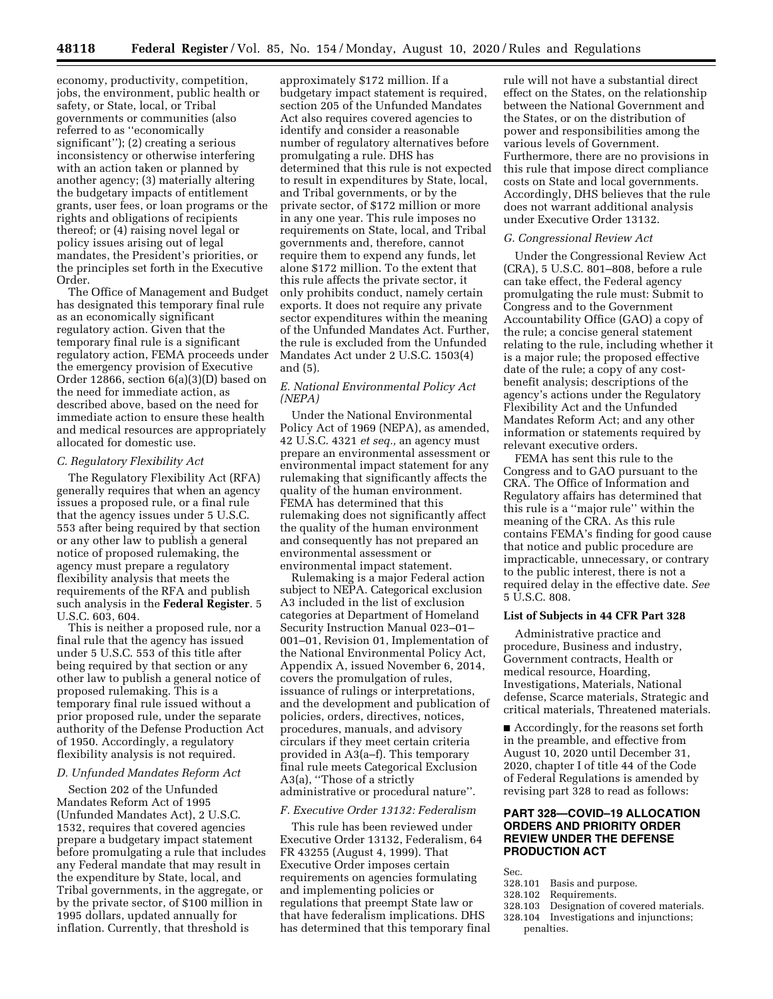economy, productivity, competition, jobs, the environment, public health or safety, or State, local, or Tribal governments or communities (also referred to as ''economically significant''); (2) creating a serious inconsistency or otherwise interfering with an action taken or planned by another agency; (3) materially altering the budgetary impacts of entitlement grants, user fees, or loan programs or the rights and obligations of recipients thereof; or (4) raising novel legal or policy issues arising out of legal mandates, the President's priorities, or the principles set forth in the Executive Order.

The Office of Management and Budget has designated this temporary final rule as an economically significant regulatory action. Given that the temporary final rule is a significant regulatory action, FEMA proceeds under the emergency provision of Executive Order 12866, section 6(a)(3)(D) based on the need for immediate action, as described above, based on the need for immediate action to ensure these health and medical resources are appropriately allocated for domestic use.

#### *C. Regulatory Flexibility Act*

The Regulatory Flexibility Act (RFA) generally requires that when an agency issues a proposed rule, or a final rule that the agency issues under 5 U.S.C. 553 after being required by that section or any other law to publish a general notice of proposed rulemaking, the agency must prepare a regulatory flexibility analysis that meets the requirements of the RFA and publish such analysis in the **Federal Register**. 5 U.S.C. 603, 604.

This is neither a proposed rule, nor a final rule that the agency has issued under 5 U.S.C. 553 of this title after being required by that section or any other law to publish a general notice of proposed rulemaking. This is a temporary final rule issued without a prior proposed rule, under the separate authority of the Defense Production Act of 1950. Accordingly, a regulatory flexibility analysis is not required.

#### *D. Unfunded Mandates Reform Act*

Section 202 of the Unfunded Mandates Reform Act of 1995 (Unfunded Mandates Act), 2 U.S.C. 1532, requires that covered agencies prepare a budgetary impact statement before promulgating a rule that includes any Federal mandate that may result in the expenditure by State, local, and Tribal governments, in the aggregate, or by the private sector, of \$100 million in 1995 dollars, updated annually for inflation. Currently, that threshold is

approximately \$172 million. If a budgetary impact statement is required, section 205 of the Unfunded Mandates Act also requires covered agencies to identify and consider a reasonable number of regulatory alternatives before promulgating a rule. DHS has determined that this rule is not expected to result in expenditures by State, local, and Tribal governments, or by the private sector, of \$172 million or more in any one year. This rule imposes no requirements on State, local, and Tribal governments and, therefore, cannot require them to expend any funds, let alone \$172 million. To the extent that this rule affects the private sector, it only prohibits conduct, namely certain exports. It does not require any private sector expenditures within the meaning of the Unfunded Mandates Act. Further, the rule is excluded from the Unfunded Mandates Act under 2 U.S.C. 1503(4) and (5).

### *E. National Environmental Policy Act (NEPA)*

Under the National Environmental Policy Act of 1969 (NEPA), as amended, 42 U.S.C. 4321 *et seq.,* an agency must prepare an environmental assessment or environmental impact statement for any rulemaking that significantly affects the quality of the human environment. FEMA has determined that this rulemaking does not significantly affect the quality of the human environment and consequently has not prepared an environmental assessment or environmental impact statement.

Rulemaking is a major Federal action subject to NEPA. Categorical exclusion A3 included in the list of exclusion categories at Department of Homeland Security Instruction Manual 023–01– 001–01, Revision 01, Implementation of the National Environmental Policy Act, Appendix A, issued November 6, 2014, covers the promulgation of rules, issuance of rulings or interpretations, and the development and publication of policies, orders, directives, notices, procedures, manuals, and advisory circulars if they meet certain criteria provided in A3(a–f). This temporary final rule meets Categorical Exclusion A3(a), ''Those of a strictly administrative or procedural nature''.

### *F. Executive Order 13132: Federalism*

This rule has been reviewed under Executive Order 13132, Federalism, 64 FR 43255 (August 4, 1999). That Executive Order imposes certain requirements on agencies formulating and implementing policies or regulations that preempt State law or that have federalism implications. DHS has determined that this temporary final

rule will not have a substantial direct effect on the States, on the relationship between the National Government and the States, or on the distribution of power and responsibilities among the various levels of Government. Furthermore, there are no provisions in this rule that impose direct compliance costs on State and local governments. Accordingly, DHS believes that the rule does not warrant additional analysis under Executive Order 13132.

#### *G. Congressional Review Act*

Under the Congressional Review Act (CRA), 5 U.S.C. 801–808, before a rule can take effect, the Federal agency promulgating the rule must: Submit to Congress and to the Government Accountability Office (GAO) a copy of the rule; a concise general statement relating to the rule, including whether it is a major rule; the proposed effective date of the rule; a copy of any costbenefit analysis; descriptions of the agency's actions under the Regulatory Flexibility Act and the Unfunded Mandates Reform Act; and any other information or statements required by relevant executive orders.

FEMA has sent this rule to the Congress and to GAO pursuant to the CRA. The Office of Information and Regulatory affairs has determined that this rule is a ''major rule'' within the meaning of the CRA. As this rule contains FEMA's finding for good cause that notice and public procedure are impracticable, unnecessary, or contrary to the public interest, there is not a required delay in the effective date. *See*  5 U.S.C. 808.

### **List of Subjects in 44 CFR Part 328**

Administrative practice and procedure, Business and industry, Government contracts, Health or medical resource, Hoarding, Investigations, Materials, National defense, Scarce materials, Strategic and critical materials, Threatened materials.

■ Accordingly, for the reasons set forth in the preamble, and effective from August 10, 2020 until December 31, 2020, chapter I of title 44 of the Code of Federal Regulations is amended by revising part 328 to read as follows:

# **PART 328—COVID–19 ALLOCATION ORDERS AND PRIORITY ORDER REVIEW UNDER THE DEFENSE PRODUCTION ACT**

- Sec.<br>328.101
- 328.101 Basis and purpose.<br>328.102 Requirements.
- 328.102 Requirements.
- Designation of covered materials.
- 328.104 Investigations and injunctions; penalties.